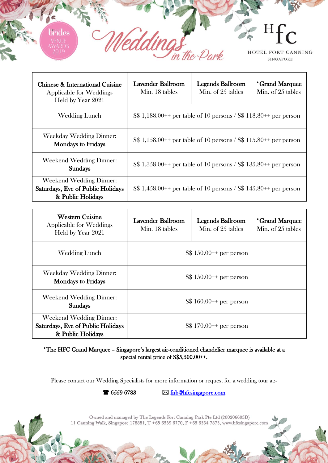

| Chinese & International Cuisine<br>Applicable for Weddings<br>Held by Year 2021   | Lavender Ballroom<br>Min. 18 tables                                | <b>Legends Ballroom</b><br>Min. of 25 tables | *Grand Marquee<br>Min. of 25 tables |
|-----------------------------------------------------------------------------------|--------------------------------------------------------------------|----------------------------------------------|-------------------------------------|
| Wedding Lunch                                                                     | $S\$ 1,188.00++ per table of 10 persons / $S\$ 118.80++ per person |                                              |                                     |
| Weekday Wedding Dinner:<br><b>Mondays to Fridays</b>                              | S\$ 1,158.00++ per table of 10 persons / S\$ 115.80++ per person   |                                              |                                     |
| Weekend Wedding Dinner:<br><b>Sundays</b>                                         | $S\$ 1,358.00++ per table of 10 persons / $S\$ 135.80++ per person |                                              |                                     |
| Weekend Wedding Dinner:<br>Saturdays, Eve of Public Holidays<br>& Public Holidays | $S\$ 1,458.00++ per table of 10 persons / $S\$ 145.80++ per person |                                              |                                     |

| <b>Western Cuisine</b><br>Applicable for Weddings<br>Held by Year 2021            | <b>Lavender Ballroom</b><br>Min. 18 tables | <b>Legends Ballroom</b><br>Min. of 25 tables | *Grand Marquee<br>Min. of 25 tables |
|-----------------------------------------------------------------------------------|--------------------------------------------|----------------------------------------------|-------------------------------------|
| <b>Wedding Lunch</b>                                                              | $S\$ 150.00++ per person                   |                                              |                                     |
| Weekday Wedding Dinner:<br><b>Mondays to Fridays</b>                              | $S\$ 150.00++ per person                   |                                              |                                     |
| <b>Weekend Wedding Dinner:</b><br><b>Sundays</b>                                  | $S\$ 160.00++ per person                   |                                              |                                     |
| Weekend Wedding Dinner:<br>Saturdays, Eve of Public Holidays<br>& Public Holidays | $S\$ 170.00++ per person                   |                                              |                                     |

\*The HFC Grand Marquee – Singapore's largest air-conditioned chandelier marquee is available at a special rental price of S\$5,500.00++.

Please contact our Wedding Specialists for more information or request for a wedding tour at:-

 $\bullet$  6559 6783  $\boxtimes$  fnb@hfcsingapore.com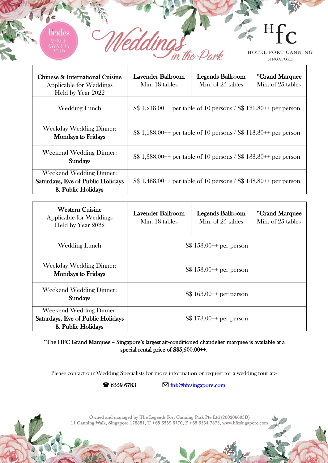HOTEL FORT CANNING SINGAPORE

H

ヿ

| Chinese & International Cuisine<br>Applicable for Weddings<br>Held by Year 2022          | Lavender Ballroom<br>Min. 18 tables                                | <b>Legends Ballroom</b><br>Min. of 25 tables | *Grand Marquee<br>Min. of 25 tables |
|------------------------------------------------------------------------------------------|--------------------------------------------------------------------|----------------------------------------------|-------------------------------------|
| Wedding Lunch                                                                            | $S\$ 1,218.00++ per table of 10 persons / $S\$ 121.80++ per person |                                              |                                     |
| Weekday Wedding Dinner:<br><b>Mondays to Fridays</b>                                     | $S\$ 1,188.00++ per table of 10 persons / $S\$ 118.80++ per person |                                              |                                     |
| Weekend Wedding Dinner:<br><b>Sundays</b>                                                | $S\$ 1,388.00++ per table of 10 persons / $S\$ 138.80++ per person |                                              |                                     |
| <b>Weekend Wedding Dinner:</b><br>Saturdays, Eve of Public Holidays<br>& Public Holidays | $S\$ 1,488.00++ per table of 10 persons / $S\$ 148.80++ per person |                                              |                                     |

Π

in the Park

ndes

| <b>Western Cuisine</b><br><b>Applicable for Weddings</b><br>Held by Year 2022            | <b>Lavender Ballroom</b><br>Min. 18 tables | <b>Legends Ballroom</b><br>Min. of 25 tables | *Grand Marquee<br>Min. of 25 tables |
|------------------------------------------------------------------------------------------|--------------------------------------------|----------------------------------------------|-------------------------------------|
| Wedding Lunch                                                                            | $S\$ 153.00++ per person                   |                                              |                                     |
| <b>Weekday Wedding Dinner:</b><br><b>Mondays to Fridays</b>                              | $S\$ 153.00++ per person                   |                                              |                                     |
| <b>Weekend Wedding Dinner:</b><br><b>Sundays</b>                                         | $S\$ 163.00++ per person                   |                                              |                                     |
| <b>Weekend Wedding Dinner:</b><br>Saturdays, Eve of Public Holidays<br>& Public Holidays | $S\$ 173.00++ per person                   |                                              |                                     |

\*The HFC Grand Marquee – Singapore's largest air-conditioned chandelier marquee is available at a special rental price of S\$5,500.00++.

Please contact our Wedding Specialists for more information or request for a wedding tour at:-

 $\triangleright$  6559 6783  $\triangleright$  <u>fnb@hfcsingapore.com</u>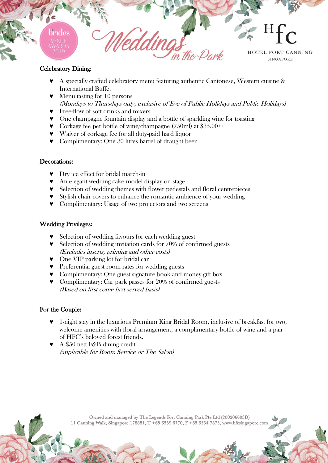

## Celebratory Dining:

- ♥ A specially crafted celebratory menu featuring authentic Cantonese, Western cuisine & International Buffet
- ♥ Menu tasting for 10 persons (Mondays to Thursdays only, exclusive of Eve of Public Holidays and Public Holidays)
- ♥ Free-flow of soft drinks and mixers
- ♥ One champagne fountain display and a bottle of sparkling wine for toasting
- ♥ Corkage fee per bottle of wine/champagne (750ml) at \$35.00++
- ♥ Waiver of corkage fee for all duty-paid hard liquor
- ♥ Complimentary: One 30 litres barrel of draught beer

## Decorations:

- ♥ Dry ice effect for bridal march-in
- ♥ An elegant wedding cake model display on stage
- ♥ Selection of wedding themes with flower pedestals and floral centrepieces
- ♥ Stylish chair covers to enhance the romantic ambience of your wedding
- ♥ Complimentary: Usage of two projectors and two screens

## Wedding Privileges:

- Selection of wedding favours for each wedding guest
- ♥ Selection of wedding invitation cards for 70% of confirmed guests (Excludes inserts, printing and other costs)
- ♥ One VIP parking lot for bridal car
- ♥ Preferential guest room rates for wedding guests
- ♥ Complimentary: One guest signature book and money gift box
- ♥ Complimentary: Car park passes for 20% of confirmed guests (Based on first come first served basis)

## For the Couple:

- ♥ 1-night stay in the luxurious Premium King Bridal Room, inclusive of breakfast for two, welcome amenities with floral arrangement, a complimentary bottle of wine and a pair of HFC's beloved forest friends.
- ♥ A \$50 nett F&B dining credit (applicable for Room Service or The Salon)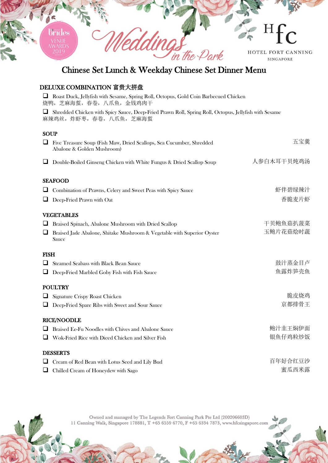

# Chinese Set Lunch & Weekday Chinese Set Dinner Menu

## DELUXE COMBINATION 富贵大拼盘

|             | <b>Q</b> Roast Duck, Jellyfish with Sesame, Spring Roll, Octopus, Gold Coin Barbecued Chicken<br>烧鸭, 芝麻海蜇, 春卷, 八爪鱼, 金钱鸡肉干     |            |
|-------------|-------------------------------------------------------------------------------------------------------------------------------|------------|
|             | Shredded Chicken with Spicy Sauce, Deep-Fried Prawn Roll, Spring Roll, Octopus, Jellyfish with Sesame<br>麻辣鸡丝,炸虾枣,春卷,八爪鱼,芝麻海蜇 |            |
| <b>SOUP</b> |                                                                                                                               |            |
|             | Five Treasure Soup (Fish Maw, Dried Scallops, Sea Cucumber, Shredded<br>Abalone & Golden Mushroom)                            | 五宝羹        |
|             | Double-Boiled Ginseng Chicken with White Fungus & Dried Scallop Soup                                                          | 人参白木耳干贝炖鸡汤 |
|             | <b>SEAFOOD</b>                                                                                                                |            |
|             | Combination of Prawns, Celery and Sweet Peas with Spicy Sauce                                                                 | 虾伴碧绿辣汁     |
|             | $\Box$ Deep-Fried Prawn with Oat                                                                                              | 香脆麦片虾      |
|             | <b>VEGETABLES</b>                                                                                                             |            |
| ⊔           | Braised Spinach, Abalone Mushroom with Dried Scallop                                                                          | 干贝鲍鱼菇扒菠菜   |
| ⊔           | Braised Jade Abalone, Shitake Mushroom & Vegetable with Superior Oyster<br>Sauce                                              | 玉鲍片花菇烩时蔬   |
| <b>FISH</b> |                                                                                                                               |            |
|             | Steamed Seabass with Black Bean Sauce                                                                                         | 鼓汁蒸金目卢     |
|             | Deep-Fried Marbled Goby Fish with Fish Sauce                                                                                  | 鱼露炸笋壳鱼     |
|             | <b>POULTRY</b>                                                                                                                |            |
|             | Signature Crispy Roast Chicken                                                                                                | 脆皮烧鸡       |
|             | Deep-Fried Spare Ribs with Sweet and Sour Sauce                                                                               | 京都排骨王      |
|             | <b>RICE/NOODLE</b>                                                                                                            |            |
|             | <b>Braised Ee-Fu Noodles with Chives and Abalone Sauce</b>                                                                    | 鲍汁韭王焖伊面    |
|             | Wok-Fried Rice with Diced Chicken and Silver Fish                                                                             | 银鱼仔鸡粒炒饭    |
|             | <b>DESSERTS</b>                                                                                                               |            |
|             | Cream of Red Bean with Lotus Seed and Lily Bud                                                                                | 百年好合红豆沙    |
|             | Chilled Cream of Honeydew with Sago                                                                                           | 蜜瓜西米露      |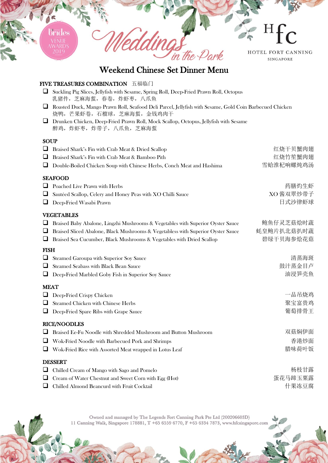

## Weekend Chinese Set Dinner Menu

## FIVE TREASURES COMBINATION 五福临门

- Suckling Pig Slices, Jellyfish with Sesame, Spring Roll, Deep-Fried Prawn Roll, Octopus 乳猪件,芝麻海蜇,春卷,炸虾枣,八爪鱼
- Roasted Duck, Mango Prawn Roll, Seafood Deli Parcel, Jellyfish with Sesame, Gold Coin Barbecued Chicken 烧鸭,芒果虾卷,石榴球,芝麻海蜇,金钱鸡肉干
- Drunken Chicken, Deep-Fried Prawn Roll, Mock Scallop, Octopus, Jellyfish with Sesame 醉鸡,炸虾枣,炸带子,八爪鱼,芝麻海蜇

#### **SOUP**

| Braised Shark's Fin with Crab Meat & Dried Scallop                               | 红烧干贝蟹肉翅    |
|----------------------------------------------------------------------------------|------------|
| Braised Shark's Fin with Crab Meat & Bamboo Pith                                 | 红烧竹笙蟹肉翅    |
| Double-Boiled Chicken Soup with Chinese Herbs, Conch Meat and Hashima            | 雪蛤淮杞响螺炖鸡汤  |
| <b>SEAFOOD</b>                                                                   |            |
| Poached Live Prawn with Herbs                                                    | 药膳灼生虾      |
| Sautéed Scallop, Celery and Honey Peas with XO Chilli Sauce                      | XO 酱双翠炒带子  |
| Deep-Fried Wasabi Prawn<br>⊔                                                     | 日式沙律虾球     |
| <b>VEGETABLES</b>                                                                |            |
| Braised Baby Abalone, Lingzhi Mushrooms & Vegetables with Superior Oyster Sauce  | 鲍鱼仔灵芝菇烩时蔬  |
| Braised Sliced Abalone, Black Mushrooms & Vegetabless with Superior Oyster Sauce | 蚝皇鲍片扒北菇扒时蔬 |
| Braised Sea Cucumber, Black Mushrooms & Vegetables with Dried Scallop            | 碧绿干贝海参烩花菇  |
| <b>FISH</b>                                                                      |            |
| ⊔<br>Steamed Garoupa with Superior Soy Sauce                                     | 清蒸海斑       |
| Steamed Seabass with Black Bean Sauce<br>⊔                                       | 鼓汁蒸金目卢     |
| Deep-Fried Marbled Goby Fish in Superior Soy Sauce<br>⊔                          | 油浸笋壳鱼      |
| <b>MEAT</b>                                                                      |            |
| Deep-Fried Crispy Chicken                                                        | 一品吊烧鸡      |
| Steamed Chicken with Chinese Herbs<br>ப                                          | 聚宝富贵鸡      |
| Deep-Fried Spare Ribs with Grape Sauce                                           | 葡萄排骨王      |
| <b>RICE/NOODLES</b>                                                              |            |
| Braised Ee-Fu Noodle with Shredded Mushroom and Button Mushroom                  | 双菇焖伊面      |
| Wok-Fried Noodle with Barbecued Pork and Shrimps<br>ப                            | 香港炒面       |
| Wok-Fried Rice with Assorted Meat wrapped in Lotus Leaf                          | 腊味荷叶饭      |
| <b>DESSERT</b>                                                                   |            |
| Chilled Cream of Mango with Sago and Pomelo                                      | 杨枝甘露       |
| Cream of Water Chestnut and Sweet Corn with Egg (Hot)                            | 蛋花马蹄玉粟露    |

□ Chilled Almond Beancurd with Fruit Cocktail the context of the context of the context of the context of the context of the context of the context of the context of the context of the context of the context of the conte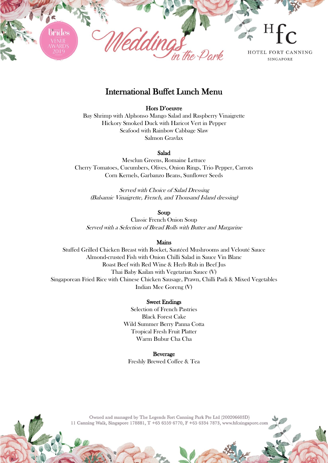

## International Buffet Lunch Menu

#### Hors D'oeuvre

Bay Shrimp with Alphonso Mango Salad and Raspberry Vinaigrette Hickory Smoked Duck with Haricot Vert in Pepper Seafood with Rainbow Cabbage Slaw Salmon Gravlax

#### Salad

Mesclun Greens, Romaine Lettuce Cherry Tomatoes, Cucumbers, Olives, Onion Rings, Trio Pepper, Carrots Corn Kernels, Garbanzo Beans, Sunflower Seeds

Served with Choice of Salad Dressing (Balsamic Vinaigrette, French, and Thousand Island dressing)

#### Soup

Classic French Onion Soup Served with a Selection of Bread Rolls with Butter and Margarine

#### Mains

Stuffed Grilled Chicken Breast with Rocket, Sautéed Mushrooms and Velouté Sauce Almond-crusted Fish with Onion Chilli Salad in Sauce Vin Blanc Roast Beef with Red Wine & Herb Rub in Beef Jus Thai Baby Kailan with Vegetarian Sauce (V) Singaporean Fried Rice with Chinese Chicken Sausage, Prawn, Chilli Padi & Mixed Vegetables Indian Mee Goreng (V)

#### Sweet Endings

Selection of French Pastries Black Forest Cake Wild Summer Berry Panna Cotta Tropical Fresh Fruit Platter Warm Bubur Cha Cha

Beverage Freshly Brewed Coffee & Tea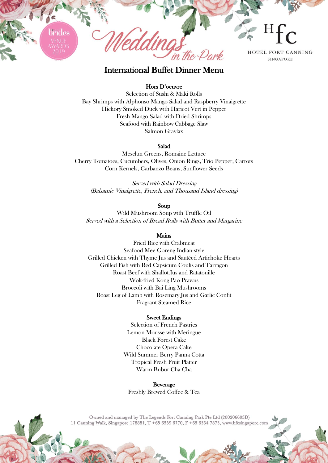

## International Buffet Dinner Menu

#### Hors D'oeuvre

Selection of Sushi & Maki Rolls Bay Shrimps with Alphonso Mango Salad and Raspberry Vinaigrette Hickory Smoked Duck with Haricot Vert in Pepper Fresh Mango Salad with Dried Shrimps Seafood with Rainbow Cabbage Slaw Salmon Gravlax

#### Salad

Mesclun Greens, Romaine Lettuce Cherry Tomatoes, Cucumbers, Olives, Onion Rings, Trio Pepper, Carrots Corn Kernels, Garbanzo Beans, Sunflower Seeds

Served with Salad Dressing (Balsamic Vinaigrette, French, and Thousand Island dressing)

#### Soup

Wild Mushroom Soup with Truffle Oil Served with a Selection of Bread Rolls with Butter and Margarine

#### Mains

Fried Rice with Crabmeat Seafood Mee Goreng Indian-style Grilled Chicken with Thyme Jus and Sautéed Artichoke Hearts Grilled Fish with Red Capsicum Coulis and Tarragon Roast Beef with Shallot Jus and Ratatouille Wok-fried Kong Pao Prawns Broccoli with Bai Ling Mushrooms Roast Leg of Lamb with Rosemary Jus and Garlic Confit Fragrant Steamed Rice

#### Sweet Endings

Selection of French Pastries Lemon Mousse with Meringue Black Forest Cake Chocolate Opera Cake Wild Summer Berry Panna Cotta Tropical Fresh Fruit Platter Warm Bubur Cha Cha

**Beverage** Freshly Brewed Coffee & Tea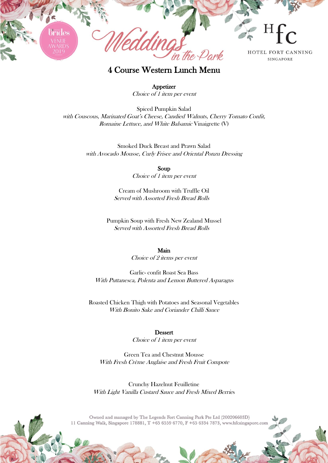

4 Course Western Lunch Menu

**Appetizer** Choice of 1 item per event

Spiced Pumpkin Salad <sup>w</sup>ith Couscous, Marinated Goat's Cheese, Candied Walnuts, Cherry Tomato Confit, Romaine Lettuce, and White Balsamic Vinaigrette (V)

> Smoked Duck Breast and Prawn Salad with Avocado Mousse, Curly Frisee and Oriental Ponzu Dressing

> > Soup Choice of 1 item per event

Cream of Mushroom with Truffle Oil Served with Assorted Fresh Bread Rolls

Pumpkin Soup with Fresh New Zealand Mussel Served with Assorted Fresh Bread Rolls

#### Main

Choice of 2 items per event

Garlic- confit Roast Sea Bass With Puttanesca, Polenta and Lemon Buttered Asparagus

Roasted Chicken Thigh with Potatoes and Seasonal Vegetables With Bonito Sake and Coriander Chilli Sauce

## Dessert

Choice of 1 item per event

Green Tea and Chestnut Mousse With Fresh Crème Anglaise and Fresh Fruit Compote

Crunchy Hazelnut Feuilletine With Light Vanilla Custard Sauce and Fresh Mixed Berries